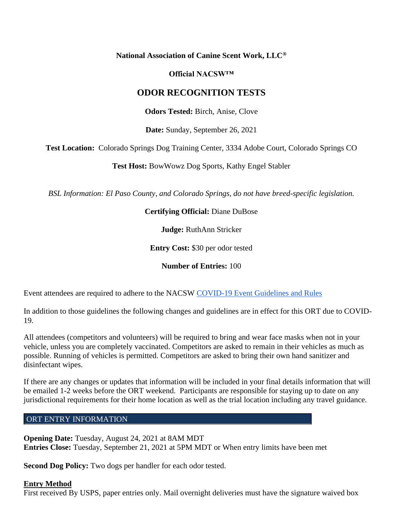### **National Association of Canine Scent Work, LLC®**

### **Official NACSW™**

## **ODOR RECOGNITION TESTS**

**Odors Tested:** Birch, Anise, Clove

**Date:** Sunday, September 26, 2021

**Test Location:** Colorado Springs Dog Training Center, 3334 Adobe Court, Colorado Springs CO

**Test Host:** BowWowz Dog Sports, Kathy Engel Stabler

*BSL Information: El Paso County, and Colorado Springs, do not have breed-specific legislation.*

### **Certifying Official:** Diane DuBose

**Judge:** RuthAnn Stricker

**Entry Cost:** \$30 per odor tested

**Number of Entries:** 100

Event attendees are required to adhere to the NACSW [COVID-19 Event Guidelines and Rules](https://drive.google.com/open?id=1pMMICXeMDJV2iFxAFOuPAMXEBoRmaik0qzSE4tiZuSI)

In addition to those guidelines the following changes and guidelines are in effect for this ORT due to COVID-19.

All attendees (competitors and volunteers) will be required to bring and wear face masks when not in your vehicle, unless you are completely vaccinated. Competitors are asked to remain in their vehicles as much as possible. Running of vehicles is permitted. Competitors are asked to bring their own hand sanitizer and disinfectant wipes.

If there are any changes or updates that information will be included in your final details information that will be emailed 1-2 weeks before the ORT weekend. Participants are responsible for staying up to date on any jurisdictional requirements for their home location as well as the trial location including any travel guidance.

### ORT ENTRY INFORMATION

**Opening Date:** Tuesday, August 24, 2021 at 8AM MDT **Entries Close:** Tuesday, September 21, 2021 at 5PM MDT or When entry limits have been met

**Second Dog Policy:** Two dogs per handler for each odor tested.

#### **Entry Method**

First received By USPS, paper entries only. Mail overnight deliveries must have the signature waived box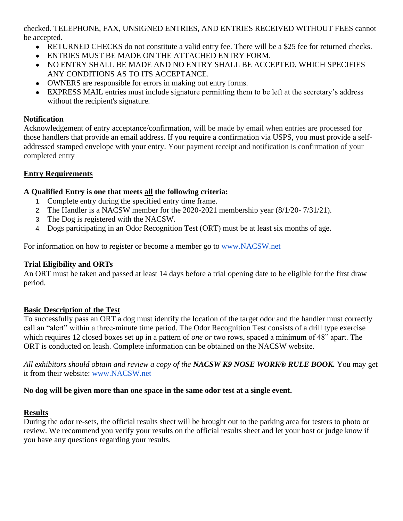checked. TELEPHONE, FAX, UNSIGNED ENTRIES, AND ENTRIES RECEIVED WITHOUT FEES cannot be accepted.

- RETURNED CHECKS do not constitute a valid entry fee. There will be a \$25 fee for returned checks.
- ENTRIES MUST BE MADE ON THE ATTACHED ENTRY FORM.
- NO ENTRY SHALL BE MADE AND NO ENTRY SHALL BE ACCEPTED, WHICH SPECIFIES ANY CONDITIONS AS TO ITS ACCEPTANCE.
- OWNERS are responsible for errors in making out entry forms.
- EXPRESS MAIL entries must include signature permitting them to be left at the secretary's address without the recipient's signature.

## **Notification**

Acknowledgement of entry acceptance/confirmation, will be made by email when entries are processed for those handlers that provide an email address. If you require a confirmation via USPS, you must provide a selfaddressed stamped envelope with your entry. Your payment receipt and notification is confirmation of your completed entry

# **Entry Requirements**

# **A Qualified Entry is one that meets all the following criteria:**

- 1. Complete entry during the specified entry time frame.
- 2. The Handler is a NACSW member for the 2020-2021 membership year (8/1/20- 7/31/21).
- 3. The Dog is registered with the NACSW.
- 4. Dogs participating in an Odor Recognition Test (ORT) must be at least six months of age.

For information on how to register or become a member go t[o](http://www.nacsw.net/) [www.NACSW.net](http://www.nacsw.net/)

# **Trial Eligibility and ORTs**

An ORT must be taken and passed at least 14 days before a trial opening date to be eligible for the first draw period.

## **Basic Description of the Test**

To successfully pass an ORT a dog must identify the location of the target odor and the handler must correctly call an "alert" within a three-minute time period. The Odor Recognition Test consists of a drill type exercise which requires 12 closed boxes set up in a pattern of *one or* two rows, spaced a minimum of 48" apart. The ORT is conducted on leash. Complete information can be obtained on the NACSW website.

*All exhibitors should obtain and review a copy of the NACSW K9 NOSE WORK® RULE BOOK.* You may get it from their website: [www.NACSW.net](http://www.nacsw.net/)

## **No dog will be given more than one space in the same odor test at a single event.**

# **Results**

During the odor re-sets, the official results sheet will be brought out to the parking area for testers to photo or review. We recommend you verify your results on the official results sheet and let your host or judge know if you have any questions regarding your results.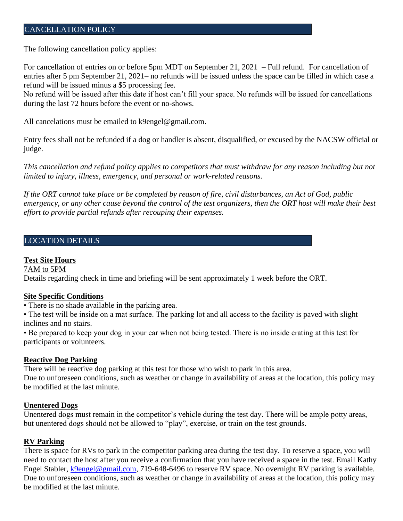### CANCELLATION POLICY

The following cancellation policy applies:

For cancellation of entries on or before 5pm MDT on September 21, 2021 – Full refund. For cancellation of entries after 5 pm September 21, 2021– no refunds will be issued unless the space can be filled in which case a refund will be issued minus a \$5 processing fee.

No refund will be issued after this date if host can't fill your space. No refunds will be issued for cancellations during the last 72 hours before the event or no-shows.

All cancelations must be emailed to k9engel@gmail.com.

Entry fees shall not be refunded if a dog or handler is absent, disqualified, or excused by the NACSW official or judge.

*This cancellation and refund policy applies to competitors that must withdraw for any reason including but not limited to injury, illness, emergency, and personal or work-related reasons.*

*If the ORT cannot take place or be completed by reason of fire, civil disturbances, an Act of God, public emergency, or any other cause beyond the control of the test organizers, then the ORT host will make their best effort to provide partial refunds after recouping their expenses.*

### LOCATION DETAILS

#### **Test Site Hours**

7AM to 5PM

Details regarding check in time and briefing will be sent approximately 1 week before the ORT.

#### **Site Specific Conditions**

• There is no shade available in the parking area.

• The test will be inside on a mat surface. The parking lot and all access to the facility is paved with slight inclines and no stairs.

• Be prepared to keep your dog in your car when not being tested. There is no inside crating at this test for participants or volunteers.

#### **Reactive Dog Parking**

There will be reactive dog parking at this test for those who wish to park in this area. Due to unforeseen conditions, such as weather or change in availability of areas at the location, this policy may be modified at the last minute.

#### **Unentered Dogs**

Unentered dogs must remain in the competitor's vehicle during the test day. There will be ample potty areas, but unentered dogs should not be allowed to "play", exercise, or train on the test grounds.

#### **RV Parking**

There is space for RVs to park in the competitor parking area during the test day. To reserve a space, you will need to contact the host after you receive a confirmation that you have received a space in the test. Email Kathy Engel Stabler, [k9engel@gmail.com,](mailto:k9engel@gmail.com) 719-648-6496 to reserve RV space. No overnight RV parking is available. Due to unforeseen conditions, such as weather or change in availability of areas at the location, this policy may be modified at the last minute.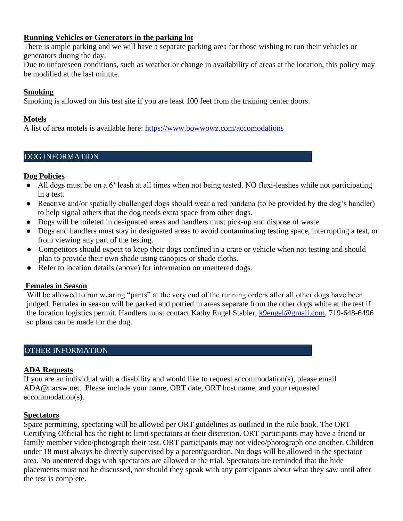### **Running Vehicles or Generators in the parking lot**

There is ample parking and we will have a separate parking area for those wishing to run their vehicles or generators during the day.

Due to unforeseen conditions, such as weather or change in availability of areas at the location, this policy may be modified at the last minute.

### **Smoking**

Smoking is allowed on this test site if you are least 100 feet from the training center doors.

## **Motels**

A list of area motels is available here:<https://www.bowwowz.com/accomodations>

## DOG INFORMATION

## **Dog Policies**

- All dogs must be on a 6' leash at all times when not being tested. NO flexi-leashes while not participating in a test.
- Reactive and/or spatially challenged dogs should wear a red bandana (to be provided by the dog's handler) to help signal others that the dog needs extra space from other dogs.
- Dogs will be toileted in designated areas and handlers must pick-up and dispose of waste.
- Dogs and handlers must stay in designated areas to avoid contaminating testing space, interrupting a test, or from viewing any part of the testing.
- Competitors should expect to keep their dogs confined in a crate or vehicle when not testing and should plan to provide their own shade using canopies or shade cloths.
- Refer to location details (above) for information on unentered dogs.

## **Females in Season**

Will be allowed to run wearing "pants" at the very end of the running orders after all other dogs have been judged. Females in season will be parked and pottied in areas separate from the other dogs while at the test if the location logistics permit. Handlers must contact Kathy Engel Stabler, [k9engel@gmail.com,](mailto:k9engel@gmail.com) 719-648-6496 so plans can be made for the dog.

## OTHER INFORMATION

### **ADA Requests**

If you are an individual with a disability and would like to request accommodation(s), please email ADA@nacsw.net. Please include your name, ORT date, ORT host name, and your requested accommodation(s).

### **Spectators**

Space permitting, spectating will be allowed per ORT guidelines as outlined in the rule book. The ORT Certifying Official has the right to limit spectators at their discretion. ORT participants may have a friend or family member video/photograph their test. ORT participants may not video/photograph one another. Children under 18 must always be directly supervised by a parent/guardian. No dogs will be allowed in the spectator area. No unentered dogs with spectators are allowed at the trial. Spectators are reminded that the hide placements must not be discussed, nor should they speak with any participants about what they saw until after the test is complete.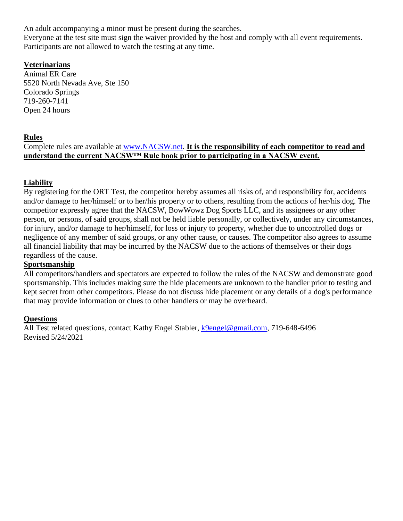An adult accompanying a minor must be present during the searches.

Everyone at the test site must sign the waiver provided by the host and comply with all event requirements. Participants are not allowed to watch the testing at any time.

## **Veterinarians**

Animal ER Care 5520 North Nevada Ave, Ste 150 Colorado Springs 719-260-7141 Open 24 hours

### **Rules**

Complete rules are available at [www.NACSW.net.](http://www.nacsw.net/) **It is the responsibility of each competitor to read and understand the current NACSW™ Rule book prior to participating in a NACSW event.**

## **Liability**

By registering for the ORT Test, the competitor hereby assumes all risks of, and responsibility for, accidents and/or damage to her/himself or to her/his property or to others, resulting from the actions of her/his dog. The competitor expressly agree that the NACSW, BowWowz Dog Sports LLC, and its assignees or any other person, or persons, of said groups, shall not be held liable personally, or collectively, under any circumstances, for injury, and/or damage to her/himself, for loss or injury to property, whether due to uncontrolled dogs or negligence of any member of said groups, or any other cause, or causes. The competitor also agrees to assume all financial liability that may be incurred by the NACSW due to the actions of themselves or their dogs regardless of the cause.

### **Sportsmanship**

All competitors/handlers and spectators are expected to follow the rules of the NACSW and demonstrate good sportsmanship. This includes making sure the hide placements are unknown to the handler prior to testing and kept secret from other competitors. Please do not discuss hide placement or any details of a dog's performance that may provide information or clues to other handlers or may be overheard.

### **Questions**

All Test related questions, contact Kathy Engel Stabler, [k9engel@gmail.com,](mailto:k9engel@gmail.com) 719-648-6496 Revised 5/24/2021